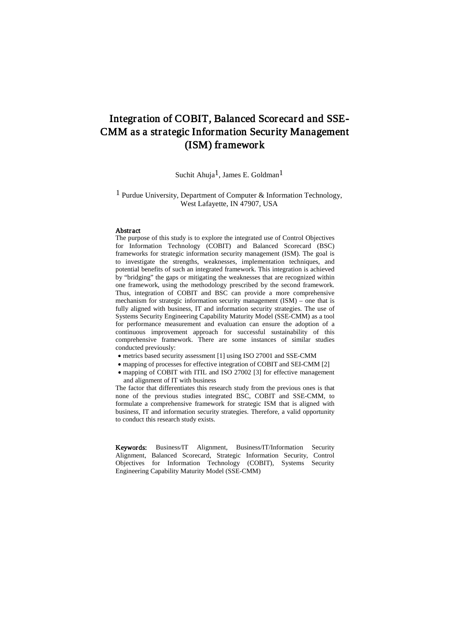# Integration of COBIT, Balanced Scorecard and SSE-CMM as a strategic Information Security Management (ISM) framework

Suchit Ahuja<sup>1</sup>, James E. Goldman<sup>1</sup>

1 Purdue University, Department of Computer & Information Technology, West Lafayette, IN 47907, USA

#### Abstract

The purpose of this study is to explore the integrated use of Control Objectives for Information Technology (COBIT) and Balanced Scorecard (BSC) frameworks for strategic information security management (ISM). The goal is to investigate the strengths, weaknesses, implementation techniques, and potential benefits of such an integrated framework. This integration is achieved by "bridging" the gaps or mitigating the weaknesses that are recognized within one framework, using the methodology prescribed by the second framework. Thus, integration of COBIT and BSC can provide a more comprehensive mechanism for strategic information security management (ISM) – one that is fully aligned with business, IT and information security strategies. The use of Systems Security Engineering Capability Maturity Model (SSE-CMM) as a tool for performance measurement and evaluation can ensure the adoption of a continuous improvement approach for successful sustainability of this comprehensive framework. There are some instances of similar studies conducted previously:

- metrics based security assessment [1] using ISO 27001 and SSE-CMM
- mapping of processes for effective integration of COBIT and SEI-CMM [2]
- mapping of COBIT with ITIL and ISO 27002 [3] for effective management and alignment of IT with business

The factor that differentiates this research study from the previous ones is that none of the previous studies integrated BSC, COBIT and SSE-CMM, to formulate a comprehensive framework for strategic ISM that is aligned with business, IT and information security strategies. Therefore, a valid opportunity to conduct this research study exists.

Keywords: Business/IT Alignment, Business/IT/Information Security Alignment, Balanced Scorecard, Strategic Information Security, Control Objectives for Information Technology (COBIT), Systems Security Engineering Capability Maturity Model (SSE-CMM)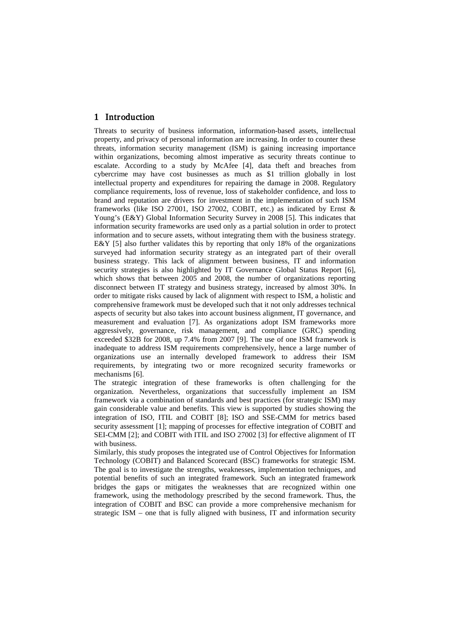## 1 Introduction

Threats to security of business information, information-based assets, intellectual property, and privacy of personal information are increasing. In order to counter these threats, information security management (ISM) is gaining increasing importance within organizations, becoming almost imperative as security threats continue to escalate. According to a study by McAfee [4], data theft and breaches from cybercrime may have cost businesses as much as \$1 trillion globally in lost intellectual property and expenditures for repairing the damage in 2008. Regulatory compliance requirements, loss of revenue, loss of stakeholder confidence, and loss to brand and reputation are drivers for investment in the implementation of such ISM frameworks (like ISO 27001, ISO 27002, COBIT, etc.) as indicated by Ernst & Young's (E&Y) Global Information Security Survey in 2008 [5]. This indicates that information security frameworks are used only as a partial solution in order to protect information and to secure assets, without integrating them with the business strategy. E&Y [5] also further validates this by reporting that only 18% of the organizations surveyed had information security strategy as an integrated part of their overall business strategy. This lack of alignment between business, IT and information security strategies is also highlighted by IT Governance Global Status Report [6], which shows that between 2005 and 2008, the number of organizations reporting disconnect between IT strategy and business strategy, increased by almost 30%. In order to mitigate risks caused by lack of alignment with respect to ISM, a holistic and comprehensive framework must be developed such that it not only addresses technical aspects of security but also takes into account business alignment, IT governance, and measurement and evaluation [7]. As organizations adopt ISM frameworks more aggressively, governance, risk management, and compliance (GRC) spending exceeded \$32B for 2008, up 7.4% from 2007 [9]. The use of one ISM framework is inadequate to address ISM requirements comprehensively, hence a large number of organizations use an internally developed framework to address their ISM requirements, by integrating two or more recognized security frameworks or mechanisms [6].

The strategic integration of these frameworks is often challenging for the organization. Nevertheless, organizations that successfully implement an ISM framework via a combination of standards and best practices (for strategic ISM) may gain considerable value and benefits. This view is supported by studies showing the integration of ISO, ITIL and COBIT [8]; ISO and SSE-CMM for metrics based security assessment [1]; mapping of processes for effective integration of COBIT and SEI-CMM [2]; and COBIT with ITIL and ISO 27002 [3] for effective alignment of IT with business.

Similarly, this study proposes the integrated use of Control Objectives for Information Technology (COBIT) and Balanced Scorecard (BSC) frameworks for strategic ISM. The goal is to investigate the strengths, weaknesses, implementation techniques, and potential benefits of such an integrated framework. Such an integrated framework bridges the gaps or mitigates the weaknesses that are recognized within one framework, using the methodology prescribed by the second framework. Thus, the integration of COBIT and BSC can provide a more comprehensive mechanism for strategic ISM – one that is fully aligned with business, IT and information security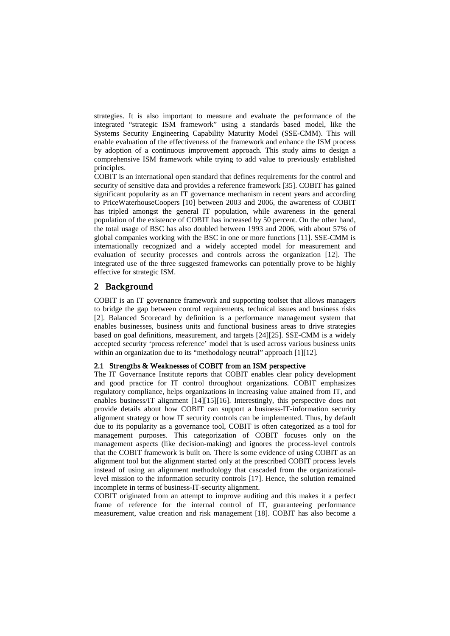strategies. It is also important to measure and evaluate the performance of the integrated "strategic ISM framework" using a standards based model, like the Systems Security Engineering Capability Maturity Model (SSE-CMM). This will enable evaluation of the effectiveness of the framework and enhance the ISM process by adoption of a continuous improvement approach. This study aims to design a comprehensive ISM framework while trying to add value to previously established principles.

COBIT is an international open standard that defines requirements for the control and security of sensitive data and provides a reference framework [35]. COBIT has gained significant popularity as an IT governance mechanism in recent years and according to PriceWaterhouseCoopers [10] between 2003 and 2006, the awareness of COBIT has tripled amongst the general IT population, while awareness in the general population of the existence of COBIT has increased by 50 percent. On the other hand, the total usage of BSC has also doubled between 1993 and 2006, with about 57% of global companies working with the BSC in one or more functions [11]. SSE-CMM is internationally recognized and a widely accepted model for measurement and evaluation of security processes and controls across the organization [12]. The integrated use of the three suggested frameworks can potentially prove to be highly effective for strategic ISM.

## 2 Background

COBIT is an IT governance framework and supporting toolset that allows managers to bridge the gap between control requirements, technical issues and business risks [2]. Balanced Scorecard by definition is a performance management system that enables businesses, business units and functional business areas to drive strategies based on goal definitions, measurement, and targets [24][25]. SSE-CMM is a widely accepted security 'process reference' model that is used across various business units within an organization due to its "methodology neutral" approach [1][12].

### 2.1 Strengths & Weaknesses of COBIT from an ISM perspective

The IT Governance Institute reports that COBIT enables clear policy development and good practice for IT control throughout organizations. COBIT emphasizes regulatory compliance, helps organizations in increasing value attained from IT, and enables business/IT alignment [14][15][16]. Interestingly, this perspective does not provide details about how COBIT can support a business-IT-information security alignment strategy or how IT security controls can be implemented. Thus, by default due to its popularity as a governance tool, COBIT is often categorized as a tool for management purposes. This categorization of COBIT focuses only on the management aspects (like decision-making) and ignores the process-level controls that the COBIT framework is built on. There is some evidence of using COBIT as an alignment tool but the alignment started only at the prescribed COBIT process levels instead of using an alignment methodology that cascaded from the organizationallevel mission to the information security controls [17]. Hence, the solution remained incomplete in terms of business-IT-security alignment.

COBIT originated from an attempt to improve auditing and this makes it a perfect frame of reference for the internal control of IT, guaranteeing performance measurement, value creation and risk management [18]. COBIT has also become a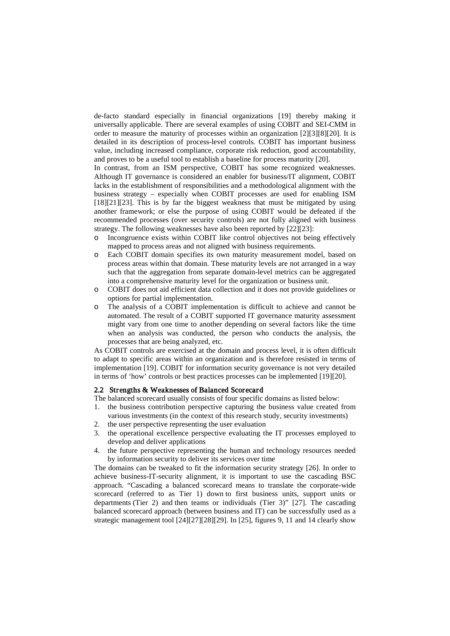de-facto standard especially in financial organizations [19] thereby making it universally applicable. There are several examples of using COBIT and SEI-CMM in order to measure the maturity of processes within an organization [2][3][8][20]. It is detailed in its description of process-level controls. COBIT has important business value, including increased compliance, corporate risk reduction, good accountability, and proves to be a useful tool to establish a baseline for process maturity [20].

In contrast, from an ISM perspective, COBIT has some recognized weaknesses. Although IT governance is considered an enabler for business/IT alignment, COBIT lacks in the establishment of responsibilities and a methodological alignment with the business strategy – especially when COBIT processes are used for enabling ISM [18][21][23]. This is by far the biggest weakness that must be mitigated by using another framework; or else the purpose of using COBIT would be defeated if the recommended processes (over security controls) are not fully aligned with business strategy. The following weaknesses have also been reported by [22][23]:

- o Incongruence exists within COBIT like control objectives not being effectively mapped to process areas and not aligned with business requirements.
- o Each COBIT domain specifies its own maturity measurement model, based on process areas within that domain. These maturity levels are not arranged in a way such that the aggregation from separate domain-level metrics can be aggregated into a comprehensive maturity level for the organization or business unit.
- o COBIT does not aid efficient data collection and it does not provide guidelines or options for partial implementation.
- o The analysis of a COBIT implementation is difficult to achieve and cannot be automated. The result of a COBIT supported IT governance maturity assessment might vary from one time to another depending on several factors like the time when an analysis was conducted, the person who conducts the analysis, the processes that are being analyzed, etc.

As COBIT controls are exercised at the domain and process level, it is often difficult to adapt to specific areas within an organization and is therefore resisted in terms of implementation [19]. COBIT for information security governance is not very detailed in terms of 'how' controls or best practices processes can be implemented [19][20].

### 2.2 Strengths & Weaknesses of Balanced Scorecard

The balanced scorecard usually consists of four specific domains as listed below:

- 1. the business contribution perspective capturing the business value created from various investments (in the context of this research study, security investments)
- 2. the user perspective representing the user evaluation
- 3. the operational excellence perspective evaluating the IT processes employed to develop and deliver applications
- 4. the future perspective representing the human and technology resources needed by information security to deliver its services over time

The domains can be tweaked to fit the information security strategy [26]. In order to achieve business-IT-security alignment, it is important to use the cascading BSC approach. "Cascading a balanced scorecard means to translate the corporate-wide scorecard (referred to as Tier 1) down to first business units, support units or departments (Tier 2) and then teams or individuals (Tier 3)" [27]. The cascading balanced scorecard approach (between business and IT) can be successfully used as a strategic management tool [24][27][28][29]. In [25], figures 9, 11 and 14 clearly show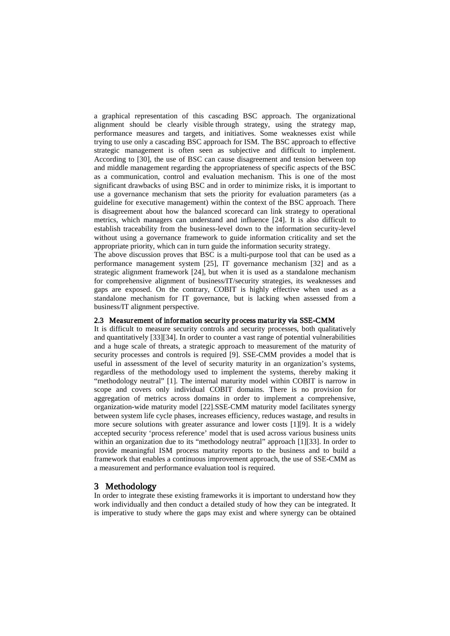a graphical representation of this cascading BSC approach. The organizational alignment should be clearly visible through strategy, using the strategy map, performance measures and targets, and initiatives. Some weaknesses exist while trying to use only a cascading BSC approach for ISM. The BSC approach to effective strategic management is often seen as subjective and difficult to implement. According to [30], the use of BSC can cause disagreement and tension between top and middle management regarding the appropriateness of specific aspects of the BSC as a communication, control and evaluation mechanism. This is one of the most significant drawbacks of using BSC and in order to minimize risks, it is important to use a governance mechanism that sets the priority for evaluation parameters (as a guideline for executive management) within the context of the BSC approach. There is disagreement about how the balanced scorecard can link strategy to operational metrics, which managers can understand and influence [24]. It is also difficult to establish traceability from the business-level down to the information security-level without using a governance framework to guide information criticality and set the appropriate priority, which can in turn guide the information security strategy.

The above discussion proves that BSC is a multi-purpose tool that can be used as a performance management system [25], IT governance mechanism [32] and as a strategic alignment framework [24], but when it is used as a standalone mechanism for comprehensive alignment of business/IT/security strategies, its weaknesses and gaps are exposed. On the contrary, COBIT is highly effective when used as a standalone mechanism for IT governance, but is lacking when assessed from a business/IT alignment perspective.

### 2.3 Measurement of infor mation security process matur ity via SSE-CMM

It is difficult to measure security controls and security processes, both qualitatively and quantitatively [33][34]. In order to counter a vast range of potential vulnerabilities and a huge scale of threats, a strategic approach to measurement of the maturity of security processes and controls is required [9]. SSE-CMM provides a model that is useful in assessment of the level of security maturity in an organization's systems, regardless of the methodology used to implement the systems, thereby making it "methodology neutral" [1]. The internal maturity model within COBIT is narrow in scope and covers only individual COBIT domains. There is no provision for aggregation of metrics across domains in order to implement a comprehensive, organization-wide maturity model [22].SSE-CMM maturity model facilitates synergy between system life cycle phases, increases efficiency, reduces wastage, and results in more secure solutions with greater assurance and lower costs [1][9]. It is a widely accepted security 'process reference' model that is used across various business units within an organization due to its "methodology neutral" approach [1][33]. In order to provide meaningful ISM process maturity reports to the business and to build a framework that enables a continuous improvement approach, the use of SSE-CMM as a measurement and performance evaluation tool is required.

3 **Methodology**<br>In order to integrate these existing frameworks it is important to understand how they work individually and then conduct a detailed study of how they can be integrated. It is imperative to study where the gaps may exist and where synergy can be obtained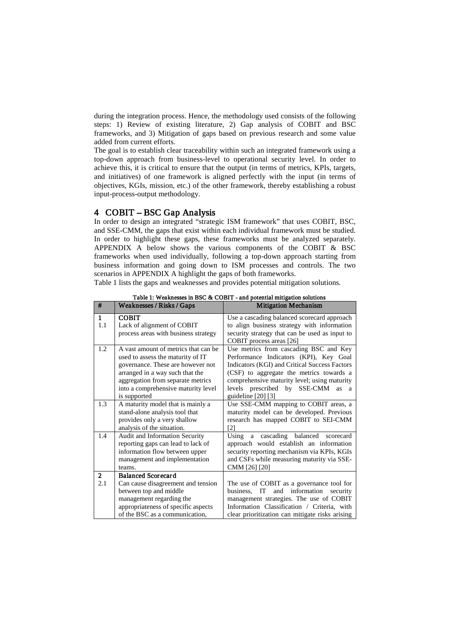during the integration process. Hence, the methodology used consists of the following steps: 1) Review of existing literature, 2) Gap analysis of COBIT and BSC frameworks, and 3) Mitigation of gaps based on previous research and some value added from current efforts.

The goal is to establish clear traceability within such an integrated framework using a top-down approach from business-level to operational security level. In order to achieve this, it is critical to ensure that the output (in terms of metrics, KPIs, targets, and initiatives) of one framework is aligned perfectly with the input (in terms of objectives, KGIs, mission, etc.) of the other framework, thereby establishing a robust input-process-output methodology.

4 COBIT – BSC Gap Analysis<br>In order to design an integrated "strategic ISM framework" that uses COBIT, BSC, and SSE-CMM, the gaps that exist within each individual framework must be studied. In order to highlight these gaps, these frameworks must be analyzed separately. [APPENDIX A](#page-13-0) below shows the various components of the COBIT & BSC frameworks when used individually, following a top-down approach starting from business information and going down to ISM processes and controls. The two scenarios in [APPENDIX A](#page-13-0) highlight the gaps of both frameworks.

<span id="page-5-0"></span>[Table](#page-5-0) <sup>1</sup> lists the gaps and weaknesses and provides potential mitigation solutions.

<span id="page-5-1"></span>

| #                   | Weaknesses / Risks / Gaps                                                                                                                                                              | <b>Mitigation Mechanism</b>                                                                                                                                                                                                   |  |
|---------------------|----------------------------------------------------------------------------------------------------------------------------------------------------------------------------------------|-------------------------------------------------------------------------------------------------------------------------------------------------------------------------------------------------------------------------------|--|
| $\mathbf{1}$<br>1.1 | <b>COBIT</b><br>Lack of alignment of COBIT<br>process areas with business strategy                                                                                                     | Use a cascading balanced scorecard approach<br>to align business strategy with information<br>security strategy that can be used as input to                                                                                  |  |
|                     |                                                                                                                                                                                        | COBIT process areas [26]                                                                                                                                                                                                      |  |
| 1.2                 | A vast amount of metrics that can be<br>used to assess the maturity of IT<br>governance. These are however not<br>arranged in a way such that the<br>aggregation from separate metrics | Use metrics from cascading BSC and Key<br>Performance Indicators (KPI), Key Goal<br>Indicators (KGI) and Critical Success Factors<br>(CSF) to aggregate the metrics towards a<br>comprehensive maturity level; using maturity |  |
|                     | into a comprehensive maturity level<br>is supported                                                                                                                                    | levels prescribed by SSE-CMM<br>as<br><sub>a</sub><br>guideline [20] [3]                                                                                                                                                      |  |
| 1.3                 | A maturity model that is mainly a<br>stand-alone analysis tool that<br>provides only a very shallow<br>analysis of the situation.                                                      | Use SSE-CMM mapping to COBIT areas, a<br>maturity model can be developed. Previous<br>research has mapped COBIT to SEI-CMM<br>[2]                                                                                             |  |
| 1.4                 | Audit and Information Security<br>reporting gaps can lead to lack of<br>information flow between upper<br>management and implementation<br>teams.                                      | Using a cascading balanced scorecard<br>approach would establish an information<br>security reporting mechanism via KPIs, KGIs<br>and CSFs while measuring maturity via SSE-<br>CMM [26] [20]                                 |  |
| $\overline{2}$      | <b>Balanced Scorecard</b>                                                                                                                                                              |                                                                                                                                                                                                                               |  |
| 2.1                 | Can cause disagreement and tension<br>between top and middle                                                                                                                           | The use of COBIT as a governance tool for<br>and information security<br>business. IT                                                                                                                                         |  |
|                     | management regarding the<br>appropriateness of specific aspects                                                                                                                        | management strategies. The use of COBIT<br>Information Classification / Criteria, with                                                                                                                                        |  |
|                     | of the BSC as a communication,                                                                                                                                                         | clear prioritization can mitigate risks arising                                                                                                                                                                               |  |

Table 1: Weaknesses in BSC & COBIT - and potential mitigation solutions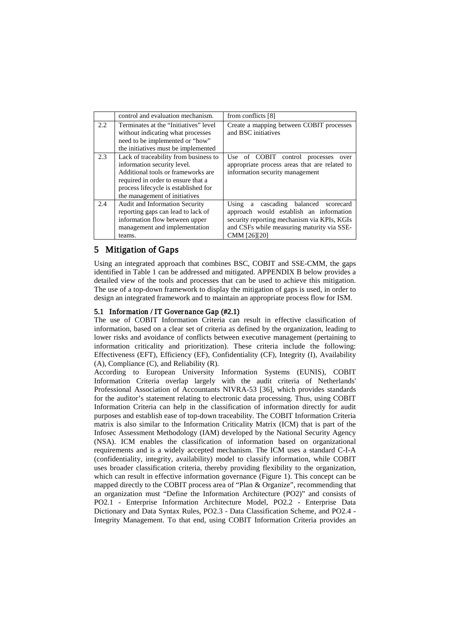|     | control and evaluation mechanism.                                                                                                                                                                                         | from conflicts [8]                                                                                                                                                                              |
|-----|---------------------------------------------------------------------------------------------------------------------------------------------------------------------------------------------------------------------------|-------------------------------------------------------------------------------------------------------------------------------------------------------------------------------------------------|
| 2.2 | Terminates at the "Initiatives" level<br>without indicating what processes<br>need to be implemented or "how"<br>the initiatives must be implemented                                                                      | Create a mapping between COBIT processes<br>and BSC initiatives                                                                                                                                 |
| 2.3 | Lack of traceability from business to<br>information security level.<br>Additional tools or frameworks are<br>required in order to ensure that a<br>process lifecycle is established for<br>the management of initiatives | Use of COBIT control processes<br>over<br>appropriate process areas that are related to<br>information security management                                                                      |
| 2.4 | <b>Audit and Information Security</b><br>reporting gaps can lead to lack of<br>information flow between upper<br>management and implementation<br>teams.                                                                  | Using a cascading balanced<br>scorecard<br>approach would establish an information<br>security reporting mechanism via KPIs, KGIs<br>and CSFs while measuring maturity via SSE-<br>CMM [26][20] |

## 5 Mitigation of Gaps

Using an integrated approach that combines BSC, COBIT and SSE-CMM, the gaps identified in [Table 1](#page-5-1) can be addressed and mitigated. [APPENDIX B](#page-13-1) below provides a detailed view of the tools and processes that can be used to achieve this mitigation. The use of a top-down framework to display the mitigation of gaps is used, in order to design an integrated framework and to maintain an appropriate process flow for ISM.

## 5.1 Information / IT Governance Gap (#2.1)

The use of COBIT Information Criteria can result in effective classification of information, based on a clear set of criteria as defined by the organization, leading to lower risks and avoidance of conflicts between executive management (pertaining to information criticality and prioritization). These criteria include the following: Effectiveness (EFT), Efficiency (EF), Confidentiality (CF), Integrity (I), Availability (A), Compliance (C), and Reliability (R).

According to European University Information Systems (EUNIS), COBIT Information Criteria overlap largely with the audit criteria of Netherlands' Professional Association of Accountants NIVRA-53 [36], which provides standards for the auditor's statement relating to electronic data processing. Thus, using COBIT Information Criteria can help in the classification of information directly for audit purposes and establish ease of top-down traceability. The COBIT Information Criteria matrix is also similar to the Information Criticality Matrix (ICM) that is part of the Infosec Assessment Methodology (IAM) developed by the National Security Agency (NSA). ICM enables the classification of information based on organizational requirements and is a widely accepted mechanism. The ICM uses a standard C-I-A (confidentiality, integrity, availability) model to classify information, while COBIT uses broader classification criteria, thereby providing flexibility to the organization, which can result in effective information governance [\(Figure 1\)](#page-7-0). This concept can be mapped directly to the COBIT process area of "Plan & Organize", recommending that an organization must "Define the Information Architecture (PO2)" and consists of PO2.1 - Enterprise Information Architecture Model, PO2.2 - Enterprise Data Dictionary and Data Syntax Rules, PO2.3 - Data Classification Scheme, and PO2.4 - Integrity Management. To that end, using COBIT Information Criteria provides an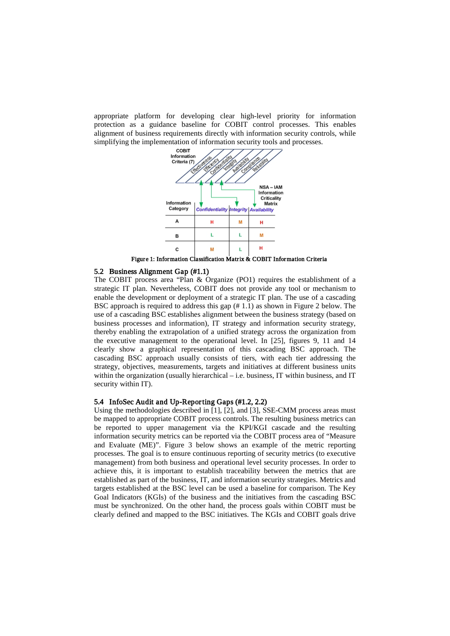appropriate platform for developing clear high-level priority for information protection as a guidance baseline for COBIT control processes. This enables alignment of business requirements directly with information security controls, while simplifying the implementation of information security tools and processes.



Figure 1: Information Classification Matrix & COBIT Information Criteria

### <span id="page-7-0"></span>5.2 Business Alignment Gap (#1.1)

The COBIT process area "Plan & Organize (PO1) requires the establishment of a strategic IT plan. Nevertheless, COBIT does not provide any tool or mechanism to enable the development or deployment of a strategic IT plan. The use of a cascading BSC approach is required to address this gap (# 1.1) as shown in [Figure 2](#page-8-0) below. The use of a cascading BSC establishes alignment between the business strategy (based on business processes and information), IT strategy and information security strategy, thereby enabling the extrapolation of a unified strategy across the organization from the executive management to the operational level. In [25], figures 9, 11 and 14 clearly show a graphical representation of this cascading BSC approach. The cascading BSC approach usually consists of tiers, with each tier addressing the strategy, objectives, measurements, targets and initiatives at different business units within the organization (usually hierarchical – i.e. business, IT within business, and IT security within IT).

### 5.4 InfoSec Audit and Up-Reporting Gaps (#1.2, 2.2)

Using the methodologies described in [1], [2], and [3], SSE-CMM process areas must be mapped to appropriate COBIT process controls. The resulting business metrics can be reported to upper management via the KPI/KGI cascade and the resulting information security metrics can be reported via the COBIT process area of "Measure and Evaluate (ME)". [Figure 3](#page-8-1) below shows an example of the metric reporting processes. The goal is to ensure continuous reporting of security metrics (to executive management) from both business and operational level security processes. In order to achieve this, it is important to establish traceability between the metrics that are established as part of the business, IT, and information security strategies. Metrics and targets established at the BSC level can be used a baseline for comparison. The Key Goal Indicators (KGIs) of the business and the initiatives from the cascading BSC must be synchronized. On the other hand, the process goals within COBIT must be clearly defined and mapped to the BSC initiatives. The KGIs and COBIT goals drive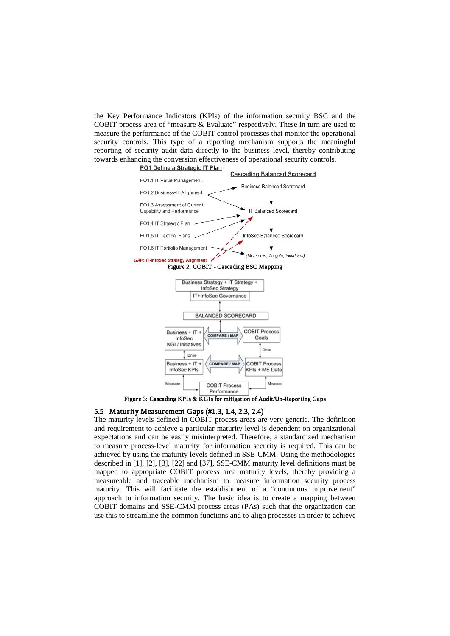the Key Performance Indicators (KPIs) of the information security BSC and the COBIT process area of "measure & Evaluate" respectively. These in turn are used to measure the performance of the COBIT control processes that monitor the operational security controls. This type of a reporting mechanism supports the meaningful reporting of security audit data directly to the business level, thereby contributing towards enhancing the conversion effectiveness of operational security controls.

<span id="page-8-0"></span>

**COBIT Process** Performance Figure 3: Cascading KPIs & KGIs for mitigation of Audit/Up-Reporting Gaps

Measure

## <span id="page-8-1"></span>5.5 Maturity Measurement Gaps (#1.3, 1.4, 2.3, 2.4)

The maturity levels defined in COBIT process areas are very generic. The definition and requirement to achieve a particular maturity level is dependent on organizational expectations and can be easily misinterpreted. Therefore, a standardized mechanism to measure process-level maturity for information security is required. This can be achieved by using the maturity levels defined in SSE-CMM. Using the methodologies described in [1], [2], [3], [22] and [37], SSE-CMM maturity level definitions must be mapped to appropriate COBIT process area maturity levels, thereby providing a measureable and traceable mechanism to measure information security process maturity. This will facilitate the establishment of a "continuous improvement" approach to information security. The basic idea is to create a mapping between COBIT domains and SSE-CMM process areas (PAs) such that the organization can use this to streamline the common functions and to align processes in order to achieve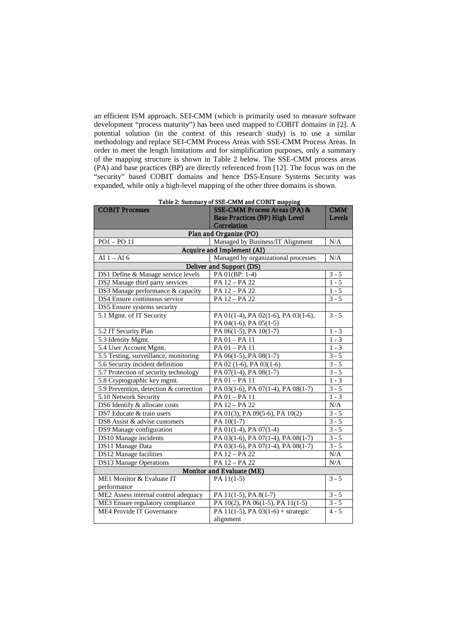an efficient ISM approach. SEI-CMM (which is primarily used to measure software development "process maturity") has been used mapped to COBIT domains in [2]. A potential solution (in the context of this research study) is to use a similar methodology and replace SEI-CMM Process Areas with SSE-CMM Process Areas. In order to meet the length limitations and for simplification purposes, only a summary of the mapping structure is shown in [Table 2](#page-9-0) below. The SSE-CMM process areas (PA) and base practices (BP) are directly referenced from [12]. The focus was on the "security" based COBIT domains and hence DS5-Ensure Systems Security was expanded, while only a high-level mapping of the other three domains is shown.

<span id="page-9-0"></span>

| <b>COBIT Processes</b>                 | Table 2. Summary of SSE-CIVIIVI and CODIT mapping<br>SSE-CMM Process Areas (PA) & | <b>CMM</b> |  |  |  |
|----------------------------------------|-----------------------------------------------------------------------------------|------------|--|--|--|
|                                        | <b>Base Practices (BP) High Level</b>                                             | Levels     |  |  |  |
|                                        | Correlation                                                                       |            |  |  |  |
| Plan and Organize (PO)                 |                                                                                   |            |  |  |  |
| $PO1 - PO11$                           | Managed by Business/IT Alignment                                                  | N/A        |  |  |  |
|                                        | Acquire and Implement (AI)                                                        |            |  |  |  |
| AI $1 - AI$ 6                          | Managed by organizational processes                                               | N/A        |  |  |  |
| Deliver and Support (DS)               |                                                                                   |            |  |  |  |
| DS1 Define & Manage service levels     | PA 01(BP: 1-4)                                                                    | $3 - 5$    |  |  |  |
| DS2 Manage third party services        | PA 12 - PA 22                                                                     | $1 - 5$    |  |  |  |
| DS3 Manage performance & capacity      | PA 12 - PA 22                                                                     | $1 - 5$    |  |  |  |
| DS4 Ensure continuous service          | PA 12 - PA 22                                                                     | $3 - 5$    |  |  |  |
| DS5 Ensure systems security            |                                                                                   |            |  |  |  |
| 5.1 Mgmt. of IT Security               | PA 01(1-4), PA 02(1-6), PA 03(1-6),                                               | $3 - 5$    |  |  |  |
|                                        | PA 04(1-6), PA 05(1-5)                                                            |            |  |  |  |
| 5.2 IT Security Plan                   | PA 06(1-5), PA 10(1-7)                                                            | $1 - 3$    |  |  |  |
| 5.3 Identity Mgmt.                     | PA 01 - PA 11                                                                     | $1 - 3$    |  |  |  |
| 5.4 User Account Mgmt.                 | $PA$ $01 - PA$ $11$                                                               | $1 - 3$    |  |  |  |
| 5.5 Testing, surveillance, monitoring  | PA 06(1-5), PA 08(1-7)                                                            | $3 - 5$    |  |  |  |
| 5.6 Security incident definition       | PA 02 (1-6), PA 03(1-6)                                                           | $3 - 5$    |  |  |  |
| 5.7 Protection of security technology  | PA 07(1-4), PA 08(1-7)                                                            | $3 - 5$    |  |  |  |
| 5.8 Cryptographic key mgmt.            | PA 01 - PA 11                                                                     | $1 - 3$    |  |  |  |
| 5.9 Prevention, detection & correction | PA 03(1-6), PA 07(1-4), PA 08(1-7)                                                | $3 - 5$    |  |  |  |
| 5.10 Network Security                  | PA 01 - PA 11                                                                     | $1 - 3$    |  |  |  |
| DS6 Identify & allocate costs          | PA 12 - PA 22                                                                     | $\rm N/A$  |  |  |  |
| DS7 Educate & train users              | PA 01(3), PA 09(5-6), PA 10(2)                                                    | $3 - 5$    |  |  |  |
| DS8 Assist & advise customers          | PA 10(1-7)                                                                        | $3 - 5$    |  |  |  |
| DS9 Manage configuration               | PA 01(1-4), PA 07(1-4)                                                            | $3 - 5$    |  |  |  |
| DS10 Manage incidents                  | PA 03(1-6), PA 07(1-4), PA 08(1-7)                                                | $3 - 5$    |  |  |  |
| DS11 Manage Data                       | PA 03(1-6), PA 07(1-4), PA 08(1-7)                                                | $3 - 5$    |  |  |  |
| DS12 Manage facilities                 | PA 12 - PA 22                                                                     | N/A        |  |  |  |
| DS13 Manage Operations                 | PA 12 - PA 22                                                                     | N/A        |  |  |  |
| Monitor and Evaluate (ME)              |                                                                                   |            |  |  |  |
| ME1 Monitor & Evaluate IT              | PA $11(1-5)$                                                                      | $3 - 5$    |  |  |  |
| performance                            |                                                                                   |            |  |  |  |
| ME2 Assess internal control adequacy   | PA 11(1-5), PA 8(1-7)                                                             | $3 - 5$    |  |  |  |
| ME3 Ensure regulatory compliance       | PA 10(2), PA 06(1-5), PA 11(1-5)                                                  | $3 - 5$    |  |  |  |
| <b>ME4 Provide IT Governance</b>       | PA 11(1-5), PA 03(1-6) + strategic                                                | $4 - 5$    |  |  |  |
|                                        | alignment                                                                         |            |  |  |  |

Table 2: Summary of SSE-CMM and COBIT mapping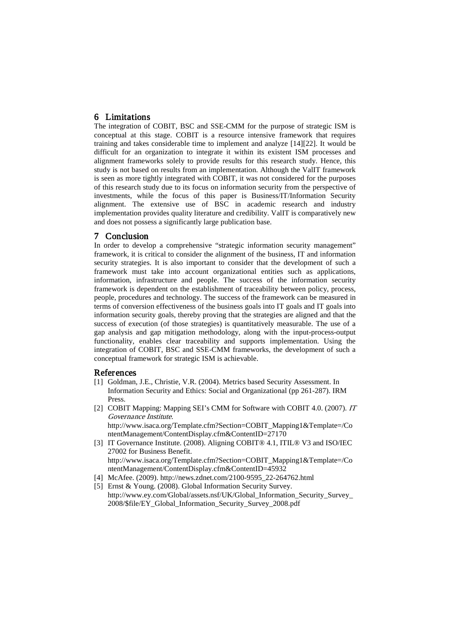6 Limitations The integration of COBIT, BSC and SSE-CMM for the purpose of strategic ISM is conceptual at this stage. COBIT is a resource intensive framework that requires training and takes considerable time to implement and analyze [14][22]. It would be difficult for an organization to integrate it within its existent ISM processes and alignment frameworks solely to provide results for this research study. Hence, this study is not based on results from an implementation. Although the ValIT framework is seen as more tightly integrated with COBIT, it was not considered for the purposes of this research study due to its focus on information security from the perspective of investments, while the focus of this paper is Business/IT/Information Security alignment. The extensive use of BSC in academic research and industry implementation provides quality literature and credibility. ValIT is comparatively new and does not possess a significantly large publication base.

7 **Conclusion**<br>In order to develop a comprehensive "strategic information security management" framework, it is critical to consider the alignment of the business, IT and information security strategies. It is also important to consider that the development of such a framework must take into account organizational entities such as applications, information, infrastructure and people. The success of the information security framework is dependent on the establishment of traceability between policy, process, people, procedures and technology. The success of the framework can be measured in terms of conversion effectiveness of the business goals into IT goals and IT goals into information security goals, thereby proving that the strategies are aligned and that the success of execution (of those strategies) is quantitatively measurable. The use of a gap analysis and gap mitigation methodology, along with the input-process-output functionality, enables clear traceability and supports implementation. Using the integration of COBIT, BSC and SSE-CMM frameworks, the development of such a conceptual framework for strategic ISM is achievable.

- References<br>[1] Goldman, J.E., Christie, V.R. (2004). Metrics based Security Assessment. In Information Security and Ethics: Social and Organizational (pp 261-287). IRM Press.
- [2] COBIT Mapping: Mapping SEI's CMM for Software with COBIT 4.0. (2007). IT Governance Institute. http://www.isaca.org/Template.cfm?Section=COBIT\_Mapping1&Template=/Co ntentManagement/ContentDisplay.cfm&ContentID=27170
- [3] IT Governance Institute. (2008). Aligning COBIT® 4.1, ITIL® V3 and ISO/IEC 27002 for Business Benefit. http://www.isaca.org/Template.cfm?Section=COBIT\_Mapping1&Template=/Co ntentManagement/ContentDisplay.cfm&ContentID=45932
- [4] McAfee. (2009). http://news.zdnet.com/2100-9595\_22-264762.html
- [5] Ernst & Young. (2008). Global Information Security Survey. http://www.ey.com/Global/assets.nsf/UK/Global\_Information\_Security\_Survey\_ 2008/\$file/EY\_Global\_Information\_Security\_Survey\_2008.pdf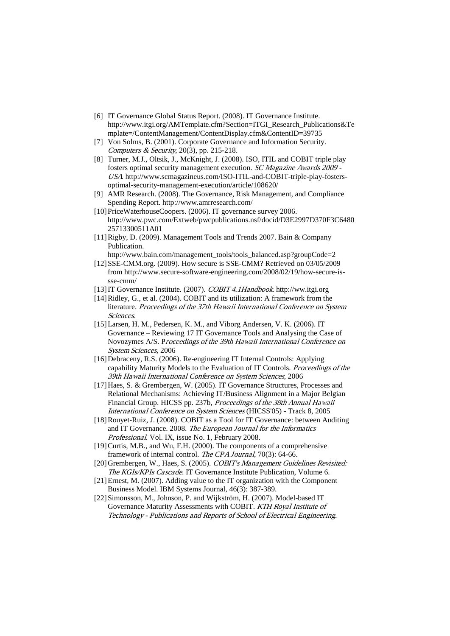- [6] IT Governance Global Status Report. (2008). IT Governance Institute. http://www.itgi.org/AMTemplate.cfm?Section=ITGI\_Research\_Publications&Te mplate=/ContentManagement/ContentDisplay.cfm&ContentID=39735
- [7] Von Solms, B. (2001). Corporate Governance and Information Security. Computers & Security, 20(3), pp. 215-218.
- [8] Turner, M.J., Oltsik, J., McKnight, J. (2008). ISO, ITIL and COBIT triple play fosters optimal security management execution. SC Magazine Awards 2009 - USA. http://www.scmagazineus.com/ISO-ITIL-and-COBIT-triple-play-fostersoptimal-security-management-execution/article/108620/
- [9] AMR Research. (2008). The Governance, Risk Management, and Compliance Spending Report. http://www.amrresearch.com/
- [10] PriceWaterhouseCoopers. (2006). IT governance survey 2006. http://www.pwc.com/Extweb/pwcpublications.nsf/docid/D3E2997D370F3C6480 25713300511A01
- [11]Rigby, D. (2009). Management Tools and Trends 2007. Bain & Company Publication.
- http://www.bain.com/management\_tools/tools\_balanced.asp?groupCode=2 [12]SSE-CMM.org. (2009). How secure is SSE-CMM? Retrieved on 03/05/2009
- from http://www.secure-software-engineering.com/2008/02/19/how-secure-issse-cmm/
- [13] IT Governance Institute. (2007). COBIT 4.1Handbook. http://ww.itgi.org
- [14]Ridley, G., et al. (2004). COBIT and its utilization: A framework from the literature. Proceedings of the 37th Hawaii International Conference on System Sciences.
- [15] Larsen, H. M., Pedersen, K. M., and Viborg Andersen, V. K. (2006). IT Governance – Reviewing 17 IT Governance Tools and Analysing the Case of Novozymes A/S. Proceedings of the 39th Hawaii International Conference on System Sciences, 2006
- [16] Debraceny, R.S. (2006). Re-engineering IT Internal Controls: Applying capability Maturity Models to the Evaluation of IT Controls. Proceedings of the 39th Hawaii International Conference on System Sciences, 2006
- [17] Haes, S. & Grembergen, W. (2005). IT Governance Structures, Processes and Relational Mechanisms: Achieving IT/Business Alignment in a Major Belgian Financial Group. HICSS pp. 237b, Proceedings of the 38th Annual Hawaii International Conference on System Sciences (HICSS'05) - Track 8, 2005
- [18]Rouyet-Ruiz, J. (2008). COBIT as a Tool for IT Governance: between Auditing and IT Governance. 2008. The European Journal for the Informatics Professional. Vol. IX, issue No. 1, February 2008.
- [19]Curtis, M.B., and Wu, F.H. (2000). The components of a comprehensive framework of internal control. The CPA Journal, 70(3): 64-66.
- [20]Grembergen, W., Haes, S. (2005). COBIT's Management Guidelines Revisited: The KGIs/KPIs Cascade. IT Governance Institute Publication, Volume 6.
- [21]Ernest, M. (2007). Adding value to the IT organization with the Component Business Model. IBM Systems Journal, 46(3): 387-389.
- [22] Simonsson, M., Johnson, P. and Wijkström, H. (2007). Model-based IT Governance Maturity Assessments with COBIT. KTH Royal Institute of Technology - Publications and Reports of School of Electrical Engineering.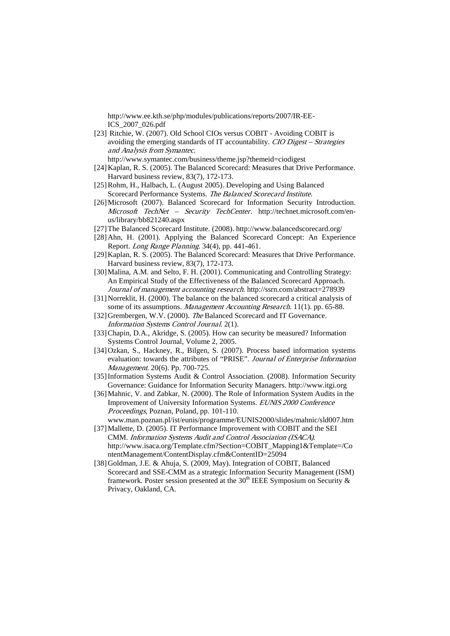http://www.ee.kth.se/php/modules/publications/reports/2007/IR-EE-ICS\_2007\_026.pdf

- [23] Ritchie, W. (2007). Old School CIOs versus COBIT Avoiding COBIT is avoiding the emerging standards of IT accountability. CIO Digest – Strategies and Analysis from Symantec.
	- http:// www.symantec.com/business/theme.jsp?themeid=ciodigest
- [24]Kaplan, R. S. (2005). The Balanced Scorecard: Measures that Drive Performance. Harvard business review, 83(7), 172-173.
- [25]Rohm, H., Halbach, L. (August 2005). Developing and Using Balanced Scorecard Performance Systems. The Balanced Scorecard Institute.
- [26]Microsoft (2007). Balanced Scorecard for Information Security Introduction. Microsoft TechNet – Security TechCenter. http://technet.microsoft.com/enus/library/bb821240.aspx
- [27]The Balanced Scorecard Institute. (2008). http://www.balancedscorecard.org/
- [28] Ahn, H. (2001). Applying the Balanced Scorecard Concept: An Experience Report. Long Range Planning. 34(4), pp. 441-461.
- [29] Kaplan, R. S. (2005). The Balanced Scorecard: Measures that Drive Performance. Harvard business review, 83(7), 172-173.
- [30] Malina, A.M. and Selto, F. H. (2001). Communicating and Controlling Strategy: An Empirical Study of the Effectiveness of the Balanced Scorecard Approach. Journal of management accounting research. http://ssrn.com/abstract=278939
- [31]Norreklit, H. (2000). The balance on the balanced scorecard a critical analysis of some of its assumptions. Management Accounting Research. 11(1). pp. 65-88.
- [32]Grembergen, W.V. (2000). The Balanced Scorecard and IT Governance. Information Systems Control Journal. 2(1).
- [33]Chapin, D.A., Akridge, S. (2005). How can security be measured? Information Systems Control Journal, Volume 2, 2005.
- [34]Ozkan, S., Hackney, R., Bilgen, S. (2007). Process based information systems evaluation: towards the attributes of "PRISE". Journal of Enterprise Information Management. 20(6). Pp. 700-725.
- [35]Information Systems Audit & Control Association. (2008). Information Security Governance: Guidance for Information Security Managers. http://www.itgi.org
- [36]Mahnic, V. and Zabkar, N. (2000). The Role of Information System Audits in the Improvement of University Information Systems. EUNIS 2000 Conference Proceedings, Poznan, Poland, pp. 101-110. www.man.poznan.pl/ist/eunis/programme/EUNIS2000/slides/mahnic/sld007.htm
- [37] Mallette, D. (2005). IT Performance Improvement with COBIT and the SEI CMM. Information Systems Audit and Control Association (ISACA). http://www.isaca.org/Template.cfm?Section=COBIT\_Mapping1&Template=/Co ntentManagement/ContentDisplay.cfm&ContentID=25094
- [38]Goldman, J.E. & Ahuja, S. (2009, May). Integration of COBIT, Balanced Scorecard and SSE-CMM as a strategic Information Security Management (ISM) framework. Poster session presented at the 30<sup>th</sup> IEEE Symposium on Security  $\&$ Privacy, Oakland, CA.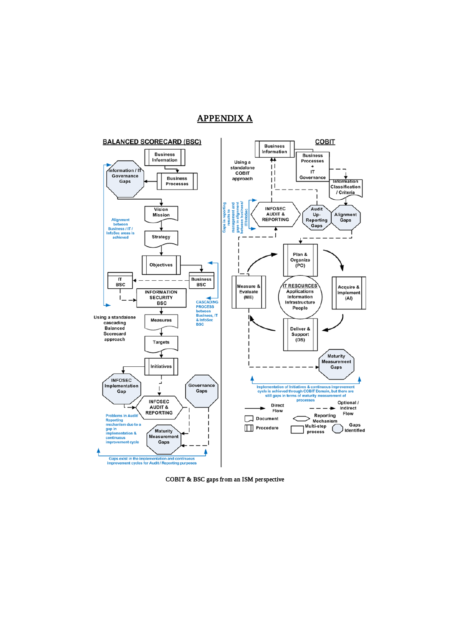## APPENDIX A

<span id="page-13-0"></span>

<span id="page-13-1"></span>COBIT & BSC gaps from an ISM perspective